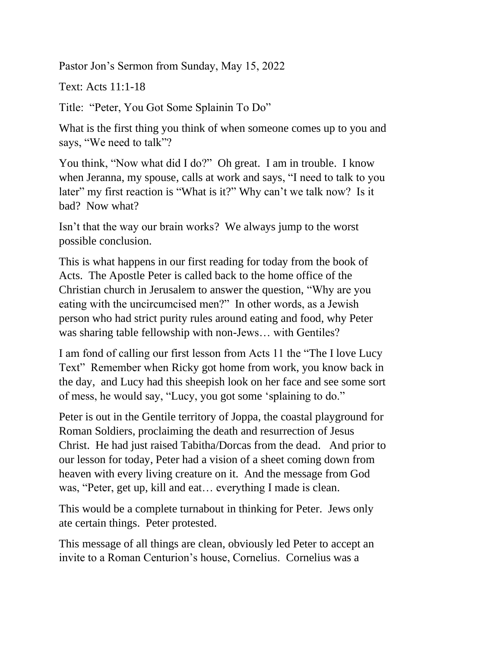Pastor Jon's Sermon from Sunday, May 15, 2022

Text: Acts 11:1-18

Title: "Peter, You Got Some Splainin To Do"

What is the first thing you think of when someone comes up to you and says, "We need to talk"?

You think, "Now what did I do?" Oh great. I am in trouble. I know when Jeranna, my spouse, calls at work and says, "I need to talk to you later" my first reaction is "What is it?" Why can't we talk now? Is it bad? Now what?

Isn't that the way our brain works? We always jump to the worst possible conclusion.

This is what happens in our first reading for today from the book of Acts. The Apostle Peter is called back to the home office of the Christian church in Jerusalem to answer the question, "Why are you eating with the uncircumcised men?" In other words, as a Jewish person who had strict purity rules around eating and food, why Peter was sharing table fellowship with non-Jews… with Gentiles?

I am fond of calling our first lesson from Acts 11 the "The I love Lucy Text" Remember when Ricky got home from work, you know back in the day, and Lucy had this sheepish look on her face and see some sort of mess, he would say, "Lucy, you got some 'splaining to do."

Peter is out in the Gentile territory of Joppa, the coastal playground for Roman Soldiers, proclaiming the death and resurrection of Jesus Christ. He had just raised Tabitha/Dorcas from the dead. And prior to our lesson for today, Peter had a vision of a sheet coming down from heaven with every living creature on it. And the message from God was, "Peter, get up, kill and eat… everything I made is clean.

This would be a complete turnabout in thinking for Peter. Jews only ate certain things. Peter protested.

This message of all things are clean, obviously led Peter to accept an invite to a Roman Centurion's house, Cornelius. Cornelius was a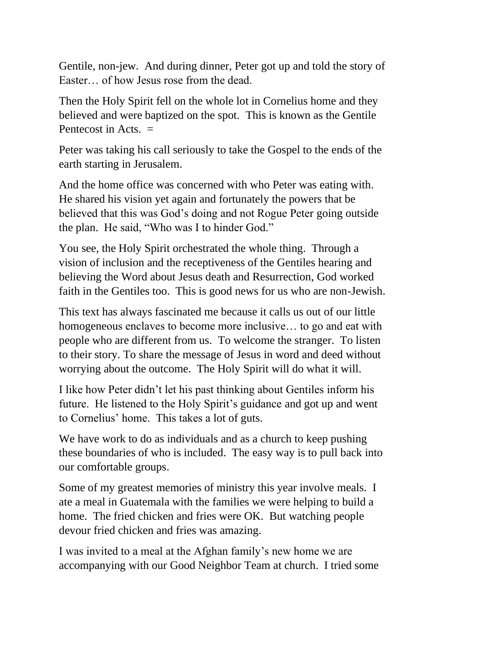Gentile, non-jew. And during dinner, Peter got up and told the story of Easter… of how Jesus rose from the dead.

Then the Holy Spirit fell on the whole lot in Cornelius home and they believed and were baptized on the spot. This is known as the Gentile Pentecost in Acts.  $=$ 

Peter was taking his call seriously to take the Gospel to the ends of the earth starting in Jerusalem.

And the home office was concerned with who Peter was eating with. He shared his vision yet again and fortunately the powers that be believed that this was God's doing and not Rogue Peter going outside the plan. He said, "Who was I to hinder God."

You see, the Holy Spirit orchestrated the whole thing. Through a vision of inclusion and the receptiveness of the Gentiles hearing and believing the Word about Jesus death and Resurrection, God worked faith in the Gentiles too. This is good news for us who are non-Jewish.

This text has always fascinated me because it calls us out of our little homogeneous enclaves to become more inclusive… to go and eat with people who are different from us. To welcome the stranger. To listen to their story. To share the message of Jesus in word and deed without worrying about the outcome. The Holy Spirit will do what it will.

I like how Peter didn't let his past thinking about Gentiles inform his future. He listened to the Holy Spirit's guidance and got up and went to Cornelius' home. This takes a lot of guts.

We have work to do as individuals and as a church to keep pushing these boundaries of who is included. The easy way is to pull back into our comfortable groups.

Some of my greatest memories of ministry this year involve meals. I ate a meal in Guatemala with the families we were helping to build a home. The fried chicken and fries were OK. But watching people devour fried chicken and fries was amazing.

I was invited to a meal at the Afghan family's new home we are accompanying with our Good Neighbor Team at church. I tried some